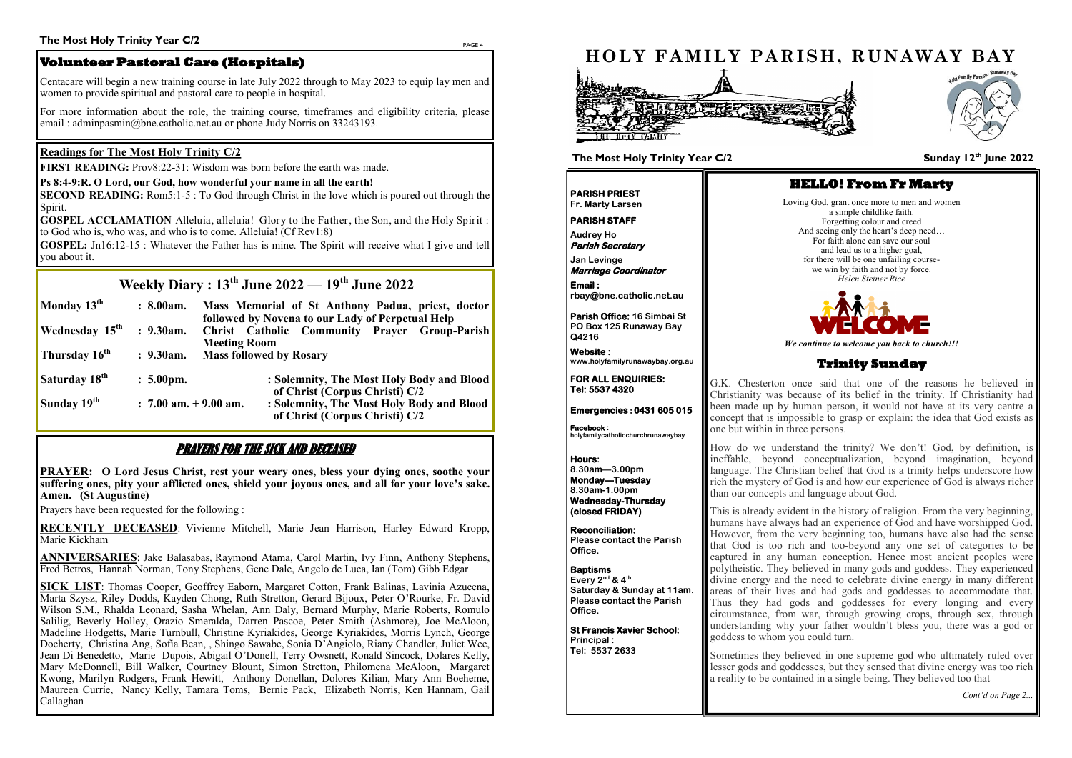PAGE 4

# **Weekly Diary : 13th June 2022 — 19th June 2022**

| Monday $13^{\text{th}}$           | : 8.00am.                | Mass Memorial of St Anthony Padua, priest, doctor<br>followed by Novena to our Lady of Perpetual Help |                                                                             |  |
|-----------------------------------|--------------------------|-------------------------------------------------------------------------------------------------------|-----------------------------------------------------------------------------|--|
| <b>Wednesday</b> 15 <sup>th</sup> | $: 9.30$ am.             | Christ Catholic Community Prayer Group-Parish<br><b>Meeting Room</b>                                  |                                                                             |  |
| Thursday 16 <sup>th</sup>         | $: 9.30$ am.             | <b>Mass followed by Rosary</b>                                                                        |                                                                             |  |
| Saturday 18 <sup>th</sup>         | $: 5.00 \text{pm}.$      |                                                                                                       | : Solemnity, The Most Holy Body and Blood<br>of Christ (Corpus Christi) C/2 |  |
| Sunday 19 <sup>th</sup>           | $: 7.00$ am. $+9.00$ am. |                                                                                                       | : Solemnity, The Most Holy Body and Blood<br>of Christ (Corpus Christi) C/2 |  |

# PRAYERS FOR THE SICK AND DECEASED

**PRAYER: O Lord Jesus Christ, rest your weary ones, bless your dying ones, soothe your suffering ones, pity your afflicted ones, shield your joyous ones, and all for your love's sake. Amen. (St Augustine)** 

Prayers have been requested for the following :

**RECENTLY DECEASED**: Vivienne Mitchell, Marie Jean Harrison, Harley Edward Kropp, Marie Kickham

**ANNIVERSARIES**: Jake Balasabas, Raymond Atama, Carol Martin, Ivy Finn, Anthony Stephens, Fred Betros, Hannah Norman, Tony Stephens, Gene Dale, Angelo de Luca, Ian (Tom) Gibb Edgar

**SECOND READING:** Rom5:1-5 : To God through Christ in the love which is poured out through the Spirit.

**GOSPEL ACCLAMATION** Alleluia, alleluia! Glory to the Father, the Son, and the Holy Spirit : to God who is, who was, and who is to come. Alleluia! (Cf Rev1:8)

**SICK LIST**: Thomas Cooper, Geoffrey Eaborn, Margaret Cotton, Frank Balinas, Lavinia Azucena, Marta Szysz, Riley Dodds, Kayden Chong, Ruth Stretton, Gerard Bijoux, Peter O'Rourke, Fr. David Wilson S.M., Rhalda Leonard, Sasha Whelan, Ann Daly, Bernard Murphy, Marie Roberts, Romulo Salilig, Beverly Holley, Orazio Smeralda, Darren Pascoe, Peter Smith (Ashmore), Joe McAloon, Madeline Hodgetts, Marie Turnbull, Christine Kyriakides, George Kyriakides, Morris Lynch, George Docherty, Christina Ang, Sofia Bean, , Shingo Sawabe, Sonia D'Angiolo, Riany Chandler, Juliet Wee, Jean Di Benedetto, Marie Dupois, Abigail O'Donell, Terry Owsnett, Ronald Sincock, Dolares Kelly, Mary McDonnell, Bill Walker, Courtney Blount, Simon Stretton, Philomena McAloon, Margaret Kwong, Marilyn Rodgers, Frank Hewitt, Anthony Donellan, Dolores Kilian, Mary Ann Boeheme, Maureen Currie, Nancy Kelly, Tamara Toms, Bernie Pack, Elizabeth Norris, Ken Hannam, Gail Callaghan

### **Readings for The Most Holy Trinity C/2**

**FIRST READING:** Prov8:22-31: Wisdom was born before the earth was made.

#### **Ps 8:4-9:R. O Lord, our God, how wonderful your name in all the earth!**

**GOSPEL:** Jn16:12-15 : Whatever the Father has is mine. The Spirit will receive what I give and tell you about it.

# **Volunteer Pastoral Care (Hospitals)**

Centacare will begin a new training course in late July 2022 through to May 2023 to equip lay men and women to provide spiritual and pastoral care to people in hospital.

For more information about the role, the training course, timeframes and eligibility criteria, please email : adminpasmin@bne.catholic.net.au or phone Judy Norris on 33243193.



#### **Sunday 12 th June 2022**

**PARISH PRIEST Fr. Marty Larsen**

**PARISH STAFF** 

**Audrey Ho Parish Secretary** 

**Jan Levinge Marriage Coordinator Email :** 

**rbay@bne.catholic.net.au**

**Parish Office: 16 Simbai St PO Box 125 Runaway Bay Q4216**

**Website : www.holyfamilyrunawaybay.org.au** 

**FOR ALL ENQUIRIES: Tel: 5537 4320** 

**Emergencies : 0431 605 015 Facebook :** 

**holyfamilycatholicchurchrunawaybay**

**Hours: 8.30am—3.00pm Monday—Tuesday 8.30am-1.00pm Wednesday-Thursday (closed FRIDAY)** 

**Reconciliation: Please contact the Parish Office.**

**Baptisms Every 2nd & 4th Saturday & Sunday at 11am. Please contact the Parish Office.**

**St Francis Xavier School: Principal : Tel: 5537 2633** 

#### **The Most Holy Trinity Year C/2**

### **HELLO! From Fr Marty**

Loving God, grant once more to men and women a simple childlike faith. Forgetting colour and creed And seeing only the heart's deep need... For faith alone can save our soul and lead us to a higher goal, for there will be one unfailing coursewe win by faith and not by force. *Helen Steiner Rice*



*We continue to welcome you back to church!!!*

### **Trinity Sunday**

G.K. Chesterton once said that one of the reasons he believed in Christianity was because of its belief in the trinity. If Christianity had been made up by human person, it would not have at its very centre a concept that is impossible to grasp or explain: the idea that God exists as one but within in three persons.

How do we understand the trinity? We don't! God, by definition, is ineffable, beyond conceptualization, beyond imagination, beyond language. The Christian belief that God is a trinity helps underscore how rich the mystery of God is and how our experience of God is always richer than our concepts and language about God.

This is already evident in the history of religion. From the very beginning, humans have always had an experience of God and have worshipped God. However, from the very beginning too, humans have also had the sense that God is too rich and too-beyond any one set of categories to be captured in any human conception. Hence most ancient peoples were polytheistic. They believed in many gods and goddess. They experienced divine energy and the need to celebrate divine energy in many different areas of their lives and had gods and goddesses to accommodate that. Thus they had gods and goddesses for every longing and every circumstance, from war, through growing crops, through sex, through understanding why your father wouldn't bless you, there was a god or goddess to whom you could turn.

Sometimes they believed in one supreme god who ultimately ruled over lesser gods and goddesses, but they sensed that divine energy was too rich a reality to be contained in a single being. They believed too that

*Cont'd on Page 2...*